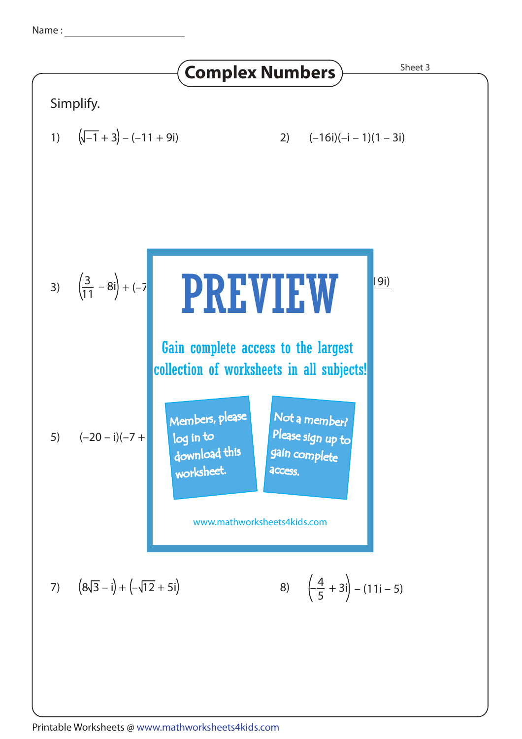